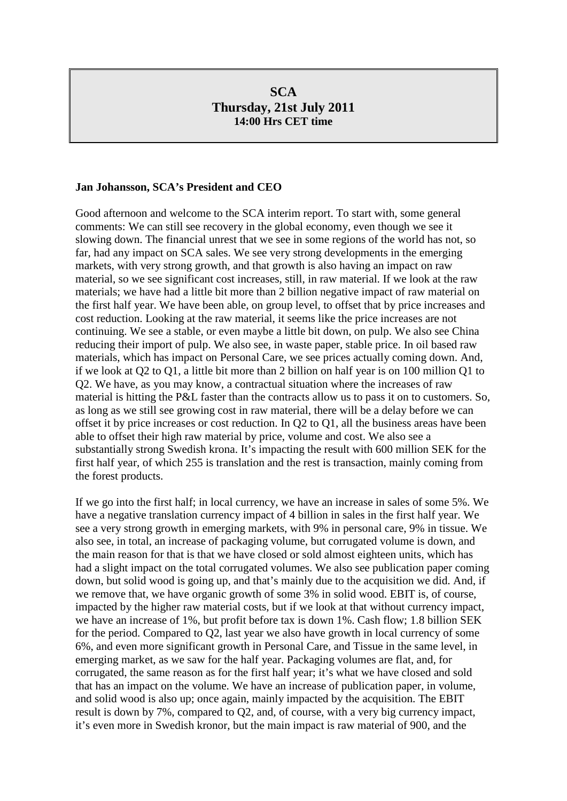# **SCA Thursday, 21st July 2011 14:00 Hrs CET time**

### **Jan Johansson, SCA's President and CEO**

Good afternoon and welcome to the SCA interim report. To start with, some general comments: We can still see recovery in the global economy, even though we see it slowing down. The financial unrest that we see in some regions of the world has not, so far, had any impact on SCA sales. We see very strong developments in the emerging markets, with very strong growth, and that growth is also having an impact on raw material, so we see significant cost increases, still, in raw material. If we look at the raw materials; we have had a little bit more than 2 billion negative impact of raw material on the first half year. We have been able, on group level, to offset that by price increases and cost reduction. Looking at the raw material, it seems like the price increases are not continuing. We see a stable, or even maybe a little bit down, on pulp. We also see China reducing their import of pulp. We also see, in waste paper, stable price. In oil based raw materials, which has impact on Personal Care, we see prices actually coming down. And, if we look at Q2 to Q1, a little bit more than 2 billion on half year is on 100 million Q1 to Q2. We have, as you may know, a contractual situation where the increases of raw material is hitting the P&L faster than the contracts allow us to pass it on to customers. So, as long as we still see growing cost in raw material, there will be a delay before we can offset it by price increases or cost reduction. In Q2 to Q1, all the business areas have been able to offset their high raw material by price, volume and cost. We also see a substantially strong Swedish krona. It's impacting the result with 600 million SEK for the first half year, of which 255 is translation and the rest is transaction, mainly coming from the forest products.

If we go into the first half; in local currency, we have an increase in sales of some 5%. We have a negative translation currency impact of 4 billion in sales in the first half year. We see a very strong growth in emerging markets, with 9% in personal care, 9% in tissue. We also see, in total, an increase of packaging volume, but corrugated volume is down, and the main reason for that is that we have closed or sold almost eighteen units, which has had a slight impact on the total corrugated volumes. We also see publication paper coming down, but solid wood is going up, and that's mainly due to the acquisition we did. And, if we remove that, we have organic growth of some 3% in solid wood. EBIT is, of course, impacted by the higher raw material costs, but if we look at that without currency impact, we have an increase of 1%, but profit before tax is down 1%. Cash flow; 1.8 billion SEK for the period. Compared to Q2, last year we also have growth in local currency of some 6%, and even more significant growth in Personal Care, and Tissue in the same level, in emerging market, as we saw for the half year. Packaging volumes are flat, and, for corrugated, the same reason as for the first half year; it's what we have closed and sold that has an impact on the volume. We have an increase of publication paper, in volume, and solid wood is also up; once again, mainly impacted by the acquisition. The EBIT result is down by 7%, compared to Q2, and, of course, with a very big currency impact, it's even more in Swedish kronor, but the main impact is raw material of 900, and the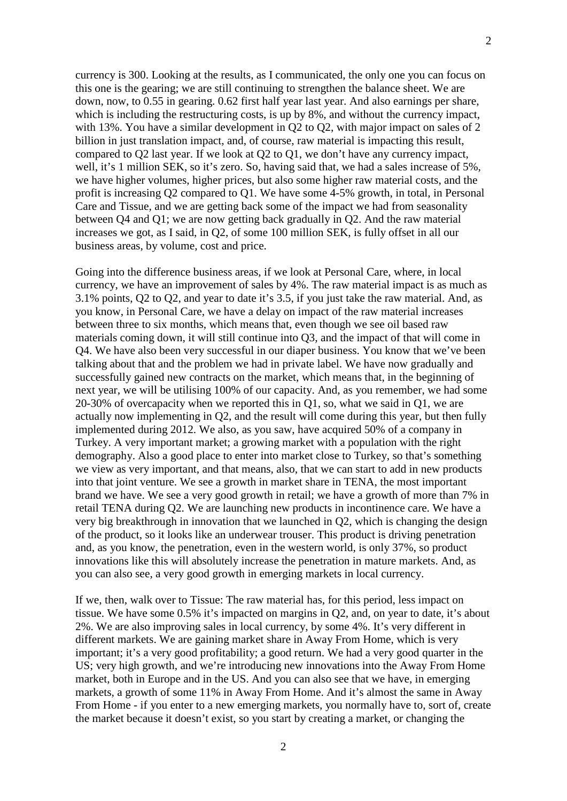currency is 300. Looking at the results, as I communicated, the only one you can focus on this one is the gearing; we are still continuing to strengthen the balance sheet. We are down, now, to 0.55 in gearing. 0.62 first half year last year. And also earnings per share, which is including the restructuring costs, is up by 8%, and without the currency impact, with 13%. You have a similar development in  $Q2$  to  $Q2$ , with major impact on sales of 2 billion in just translation impact, and, of course, raw material is impacting this result, compared to Q2 last year. If we look at Q2 to Q1, we don't have any currency impact, well, it's 1 million SEK, so it's zero. So, having said that, we had a sales increase of 5%, we have higher volumes, higher prices, but also some higher raw material costs, and the profit is increasing Q2 compared to Q1. We have some 4-5% growth, in total, in Personal Care and Tissue, and we are getting back some of the impact we had from seasonality between Q4 and Q1; we are now getting back gradually in Q2. And the raw material increases we got, as I said, in Q2, of some 100 million SEK, is fully offset in all our business areas, by volume, cost and price.

Going into the difference business areas, if we look at Personal Care, where, in local currency, we have an improvement of sales by 4%. The raw material impact is as much as 3.1% points, Q2 to Q2, and year to date it's 3.5, if you just take the raw material. And, as you know, in Personal Care, we have a delay on impact of the raw material increases between three to six months, which means that, even though we see oil based raw materials coming down, it will still continue into Q3, and the impact of that will come in Q4. We have also been very successful in our diaper business. You know that we've been talking about that and the problem we had in private label. We have now gradually and successfully gained new contracts on the market, which means that, in the beginning of next year, we will be utilising 100% of our capacity. And, as you remember, we had some 20-30% of overcapacity when we reported this in Q1, so, what we said in Q1, we are actually now implementing in Q2, and the result will come during this year, but then fully implemented during 2012. We also, as you saw, have acquired 50% of a company in Turkey. A very important market; a growing market with a population with the right demography. Also a good place to enter into market close to Turkey, so that's something we view as very important, and that means, also, that we can start to add in new products into that joint venture. We see a growth in market share in TENA, the most important brand we have. We see a very good growth in retail; we have a growth of more than 7% in retail TENA during Q2. We are launching new products in incontinence care. We have a very big breakthrough in innovation that we launched in Q2, which is changing the design of the product, so it looks like an underwear trouser. This product is driving penetration and, as you know, the penetration, even in the western world, is only 37%, so product innovations like this will absolutely increase the penetration in mature markets. And, as you can also see, a very good growth in emerging markets in local currency.

If we, then, walk over to Tissue: The raw material has, for this period, less impact on tissue. We have some 0.5% it's impacted on margins in Q2, and, on year to date, it's about 2%. We are also improving sales in local currency, by some 4%. It's very different in different markets. We are gaining market share in Away From Home, which is very important; it's a very good profitability; a good return. We had a very good quarter in the US; very high growth, and we're introducing new innovations into the Away From Home market, both in Europe and in the US. And you can also see that we have, in emerging markets, a growth of some 11% in Away From Home. And it's almost the same in Away From Home - if you enter to a new emerging markets, you normally have to, sort of, create the market because it doesn't exist, so you start by creating a market, or changing the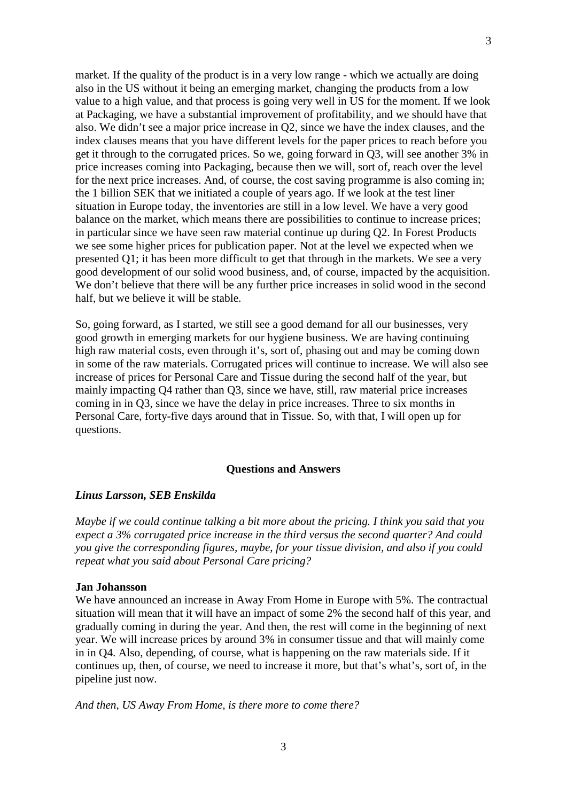market. If the quality of the product is in a very low range - which we actually are doing also in the US without it being an emerging market, changing the products from a low value to a high value, and that process is going very well in US for the moment. If we look at Packaging, we have a substantial improvement of profitability, and we should have that also. We didn't see a major price increase in Q2, since we have the index clauses, and the index clauses means that you have different levels for the paper prices to reach before you get it through to the corrugated prices. So we, going forward in Q3, will see another 3% in price increases coming into Packaging, because then we will, sort of, reach over the level for the next price increases. And, of course, the cost saving programme is also coming in; the 1 billion SEK that we initiated a couple of years ago. If we look at the test liner situation in Europe today, the inventories are still in a low level. We have a very good balance on the market, which means there are possibilities to continue to increase prices; in particular since we have seen raw material continue up during Q2. In Forest Products we see some higher prices for publication paper. Not at the level we expected when we presented Q1; it has been more difficult to get that through in the markets. We see a very good development of our solid wood business, and, of course, impacted by the acquisition. We don't believe that there will be any further price increases in solid wood in the second half, but we believe it will be stable.

So, going forward, as I started, we still see a good demand for all our businesses, very good growth in emerging markets for our hygiene business. We are having continuing high raw material costs, even through it's, sort of, phasing out and may be coming down in some of the raw materials. Corrugated prices will continue to increase. We will also see increase of prices for Personal Care and Tissue during the second half of the year, but mainly impacting Q4 rather than Q3, since we have, still, raw material price increases coming in in Q3, since we have the delay in price increases. Three to six months in Personal Care, forty-five days around that in Tissue. So, with that, I will open up for questions.

### **Questions and Answers**

#### *Linus Larsson, SEB Enskilda*

*Maybe if we could continue talking a bit more about the pricing. I think you said that you expect a 3% corrugated price increase in the third versus the second quarter? And could you give the corresponding figures, maybe, for your tissue division, and also if you could repeat what you said about Personal Care pricing?*

#### **Jan Johansson**

We have announced an increase in Away From Home in Europe with 5%. The contractual situation will mean that it will have an impact of some 2% the second half of this year, and gradually coming in during the year. And then, the rest will come in the beginning of next year. We will increase prices by around 3% in consumer tissue and that will mainly come in in Q4. Also, depending, of course, what is happening on the raw materials side. If it continues up, then, of course, we need to increase it more, but that's what's, sort of, in the pipeline just now.

*And then, US Away From Home, is there more to come there?*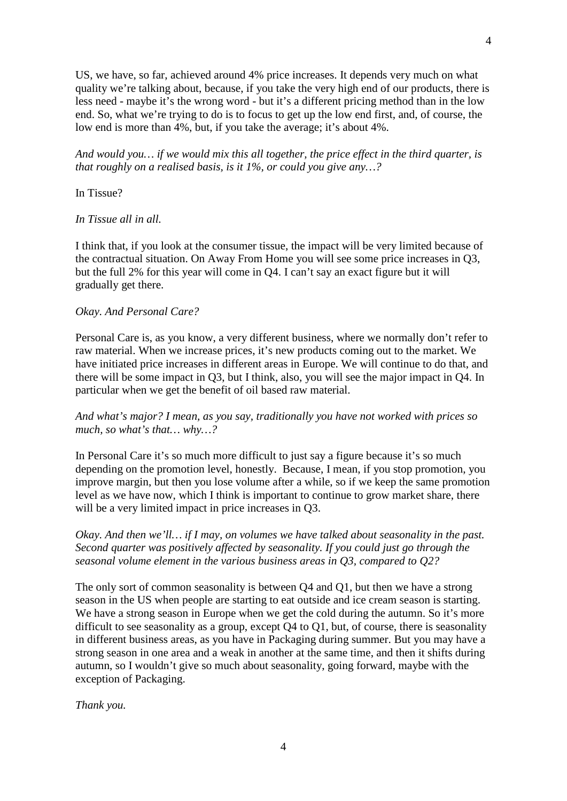US, we have, so far, achieved around 4% price increases. It depends very much on what quality we're talking about, because, if you take the very high end of our products, there is less need - maybe it's the wrong word - but it's a different pricing method than in the low end. So, what we're trying to do is to focus to get up the low end first, and, of course, the low end is more than 4%, but, if you take the average; it's about 4%.

*And would you… if we would mix this all together, the price effect in the third quarter, is that roughly on a realised basis, is it 1%, or could you give any…?*

In Tissue?

*In Tissue all in all.*

I think that, if you look at the consumer tissue, the impact will be very limited because of the contractual situation. On Away From Home you will see some price increases in Q3, but the full 2% for this year will come in Q4. I can't say an exact figure but it will gradually get there.

## *Okay. And Personal Care?*

Personal Care is, as you know, a very different business, where we normally don't refer to raw material. When we increase prices, it's new products coming out to the market. We have initiated price increases in different areas in Europe. We will continue to do that, and there will be some impact in Q3, but I think, also, you will see the major impact in Q4. In particular when we get the benefit of oil based raw material.

## *And what's major? I mean, as you say, traditionally you have not worked with prices so much, so what's that… why…?*

In Personal Care it's so much more difficult to just say a figure because it's so much depending on the promotion level, honestly. Because, I mean, if you stop promotion, you improve margin, but then you lose volume after a while, so if we keep the same promotion level as we have now, which I think is important to continue to grow market share, there will be a very limited impact in price increases in Q3.

*Okay. And then we'll… if I may, on volumes we have talked about seasonality in the past. Second quarter was positively affected by seasonality. If you could just go through the seasonal volume element in the various business areas in Q3, compared to Q2?*

The only sort of common seasonality is between Q4 and Q1, but then we have a strong season in the US when people are starting to eat outside and ice cream season is starting. We have a strong season in Europe when we get the cold during the autumn. So it's more difficult to see seasonality as a group, except Q4 to Q1, but, of course, there is seasonality in different business areas, as you have in Packaging during summer. But you may have a strong season in one area and a weak in another at the same time, and then it shifts during autumn, so I wouldn't give so much about seasonality, going forward, maybe with the exception of Packaging.

*Thank you.*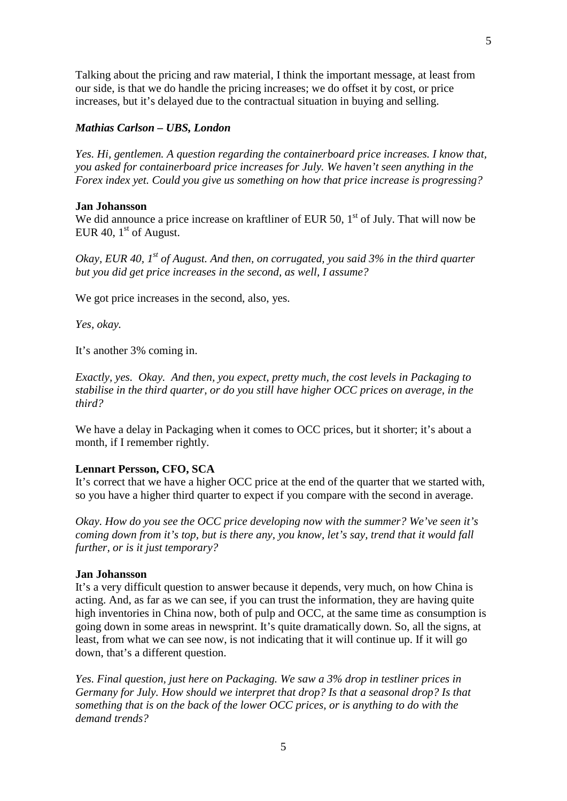Talking about the pricing and raw material, I think the important message, at least from our side, is that we do handle the pricing increases; we do offset it by cost, or price increases, but it's delayed due to the contractual situation in buying and selling.

## *Mathias Carlson – UBS, London*

*Yes. Hi, gentlemen. A question regarding the containerboard price increases. I know that, you asked for containerboard price increases for July. We haven't seen anything in the Forex index yet. Could you give us something on how that price increase is progressing?*

## **Jan Johansson**

We did announce a price increase on kraftliner of EUR 50,  $1<sup>st</sup>$  of July. That will now be EUR 40,  $1<sup>st</sup>$  of August.

*Okay, EUR 40, 1st of August. And then, on corrugated, you said 3% in the third quarter but you did get price increases in the second, as well, I assume?*

We got price increases in the second, also, yes.

*Yes, okay.*

It's another 3% coming in.

*Exactly, yes. Okay. And then, you expect, pretty much, the cost levels in Packaging to stabilise in the third quarter, or do you still have higher OCC prices on average, in the third?*

We have a delay in Packaging when it comes to OCC prices, but it shorter; it's about a month, if I remember rightly.

### **Lennart Persson, CFO, SCA**

It's correct that we have a higher OCC price at the end of the quarter that we started with, so you have a higher third quarter to expect if you compare with the second in average.

*Okay. How do you see the OCC price developing now with the summer? We've seen it's coming down from it's top, but is there any, you know, let's say, trend that it would fall further, or is it just temporary?*

#### **Jan Johansson**

It's a very difficult question to answer because it depends, very much, on how China is acting. And, as far as we can see, if you can trust the information, they are having quite high inventories in China now, both of pulp and OCC, at the same time as consumption is going down in some areas in newsprint. It's quite dramatically down. So, all the signs, at least, from what we can see now, is not indicating that it will continue up. If it will go down, that's a different question.

*Yes. Final question, just here on Packaging. We saw a 3% drop in testliner prices in Germany for July. How should we interpret that drop? Is that a seasonal drop? Is that something that is on the back of the lower OCC prices, or is anything to do with the demand trends?*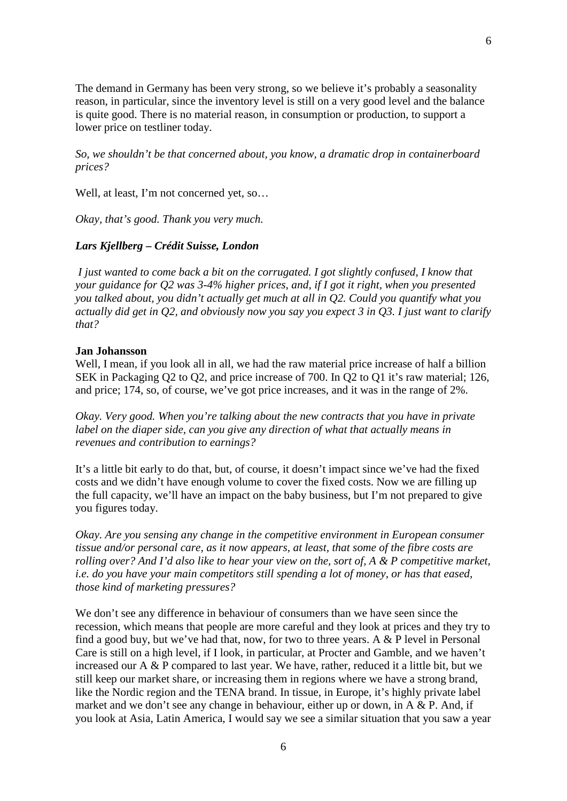The demand in Germany has been very strong, so we believe it's probably a seasonality reason, in particular, since the inventory level is still on a very good level and the balance is quite good. There is no material reason, in consumption or production, to support a lower price on testliner today.

*So, we shouldn't be that concerned about, you know, a dramatic drop in containerboard prices?*

Well, at least, I'm not concerned yet, so…

*Okay, that's good. Thank you very much.*

## *Lars Kjellberg – Crédit Suisse, London*

*I just wanted to come back a bit on the corrugated. I got slightly confused, I know that your guidance for Q2 was 3-4% higher prices, and, if I got it right, when you presented you talked about, you didn't actually get much at all in Q2. Could you quantify what you actually did get in Q2, and obviously now you say you expect 3 in Q3. I just want to clarify that?*

## **Jan Johansson**

Well, I mean, if you look all in all, we had the raw material price increase of half a billion SEK in Packaging Q2 to Q2, and price increase of 700. In Q2 to Q1 it's raw material; 126, and price; 174, so, of course, we've got price increases, and it was in the range of 2%.

*Okay. Very good. When you're talking about the new contracts that you have in private label on the diaper side, can you give any direction of what that actually means in revenues and contribution to earnings?*

It's a little bit early to do that, but, of course, it doesn't impact since we've had the fixed costs and we didn't have enough volume to cover the fixed costs. Now we are filling up the full capacity, we'll have an impact on the baby business, but I'm not prepared to give you figures today.

*Okay. Are you sensing any change in the competitive environment in European consumer tissue and/or personal care, as it now appears, at least, that some of the fibre costs are rolling over? And I'd also like to hear your view on the, sort of, A & P competitive market, i.e. do you have your main competitors still spending a lot of money, or has that eased, those kind of marketing pressures?*

We don't see any difference in behaviour of consumers than we have seen since the recession, which means that people are more careful and they look at prices and they try to find a good buy, but we've had that, now, for two to three years. A  $&$  P level in Personal Care is still on a high level, if I look, in particular, at Procter and Gamble, and we haven't increased our  $A \& P$  compared to last year. We have, rather, reduced it a little bit, but we still keep our market share, or increasing them in regions where we have a strong brand, like the Nordic region and the TENA brand. In tissue, in Europe, it's highly private label market and we don't see any change in behaviour, either up or down, in A & P. And, if you look at Asia, Latin America, I would say we see a similar situation that you saw a year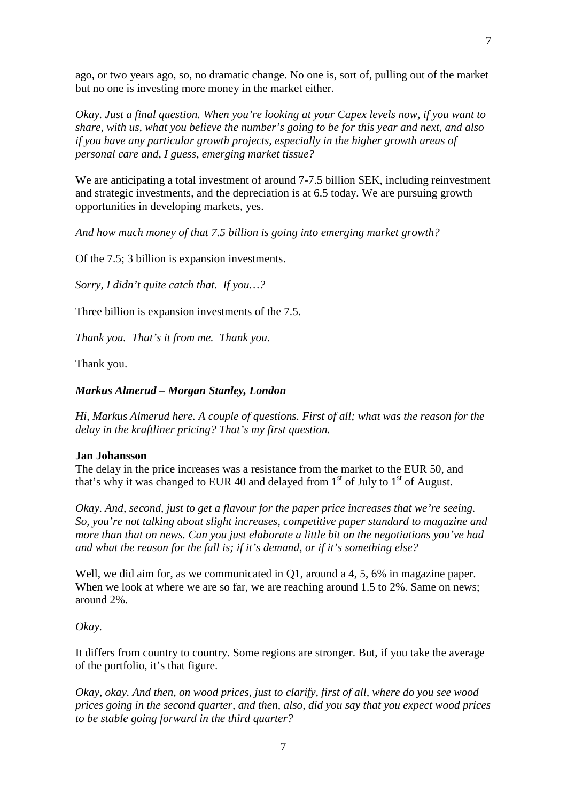ago, or two years ago, so, no dramatic change. No one is, sort of, pulling out of the market but no one is investing more money in the market either.

*Okay. Just a final question. When you're looking at your Capex levels now, if you want to share, with us, what you believe the number's going to be for this year and next, and also if you have any particular growth projects, especially in the higher growth areas of personal care and, I guess, emerging market tissue?*

We are anticipating a total investment of around 7-7.5 billion SEK, including reinvestment and strategic investments, and the depreciation is at 6.5 today. We are pursuing growth opportunities in developing markets, yes.

*And how much money of that 7.5 billion is going into emerging market growth?*

Of the 7.5; 3 billion is expansion investments.

*Sorry, I didn't quite catch that. If you…?*

Three billion is expansion investments of the 7.5.

*Thank you. That's it from me. Thank you.*

Thank you.

### *Markus Almerud – Morgan Stanley, London*

*Hi, Markus Almerud here. A couple of questions. First of all; what was the reason for the delay in the kraftliner pricing? That's my first question.*

#### **Jan Johansson**

The delay in the price increases was a resistance from the market to the EUR 50, and that's why it was changed to EUR 40 and delayed from  $1<sup>st</sup>$  of July to  $1<sup>st</sup>$  of August.

*Okay. And, second, just to get a flavour for the paper price increases that we're seeing. So, you're not talking about slight increases, competitive paper standard to magazine and more than that on news. Can you just elaborate a little bit on the negotiations you've had and what the reason for the fall is; if it's demand, or if it's something else?*

Well, we did aim for, as we communicated in Q1, around a 4, 5, 6% in magazine paper. When we look at where we are so far, we are reaching around 1.5 to 2%. Same on news; around 2%.

*Okay.*

It differs from country to country. Some regions are stronger. But, if you take the average of the portfolio, it's that figure.

*Okay, okay. And then, on wood prices, just to clarify, first of all, where do you see wood prices going in the second quarter, and then, also, did you say that you expect wood prices to be stable going forward in the third quarter?*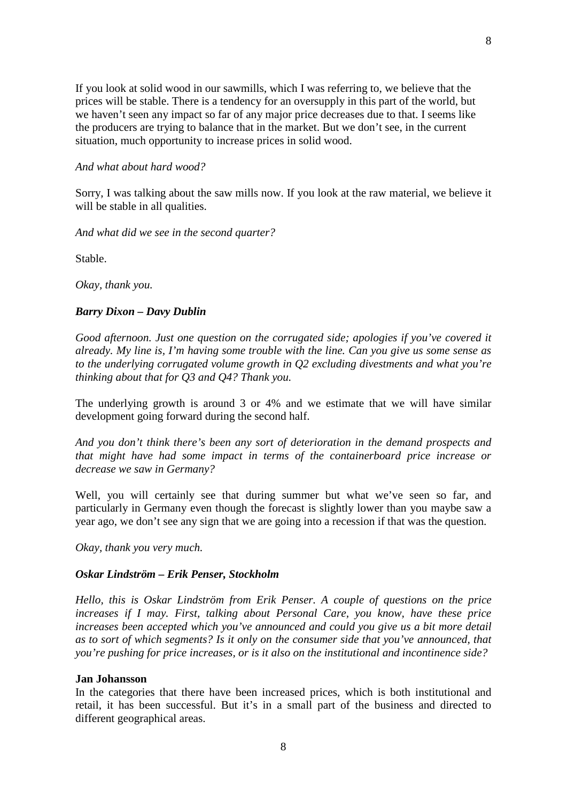If you look at solid wood in our sawmills, which I was referring to, we believe that the prices will be stable. There is a tendency for an oversupply in this part of the world, but we haven't seen any impact so far of any major price decreases due to that. I seems like the producers are trying to balance that in the market. But we don't see, in the current situation, much opportunity to increase prices in solid wood.

8

## *And what about hard wood?*

Sorry, I was talking about the saw mills now. If you look at the raw material, we believe it will be stable in all qualities.

*And what did we see in the second quarter?*

Stable.

*Okay, thank you.*

## *Barry Dixon – Davy Dublin*

*Good afternoon. Just one question on the corrugated side; apologies if you've covered it already. My line is, I'm having some trouble with the line. Can you give us some sense as to the underlying corrugated volume growth in Q2 excluding divestments and what you're thinking about that for Q3 and Q4? Thank you.*

The underlying growth is around 3 or 4% and we estimate that we will have similar development going forward during the second half.

*And you don't think there's been any sort of deterioration in the demand prospects and that might have had some impact in terms of the containerboard price increase or decrease we saw in Germany?*

Well, you will certainly see that during summer but what we've seen so far, and particularly in Germany even though the forecast is slightly lower than you maybe saw a year ago, we don't see any sign that we are going into a recession if that was the question.

*Okay, thank you very much.*

## *Oskar Lindström – Erik Penser, Stockholm*

*Hello, this is Oskar Lindström from Erik Penser. A couple of questions on the price increases if I may. First, talking about Personal Care, you know, have these price increases been accepted which you've announced and could you give us a bit more detail as to sort of which segments? Is it only on the consumer side that you've announced, that you're pushing for price increases, or is it also on the institutional and incontinence side?*

### **Jan Johansson**

In the categories that there have been increased prices, which is both institutional and retail, it has been successful. But it's in a small part of the business and directed to different geographical areas.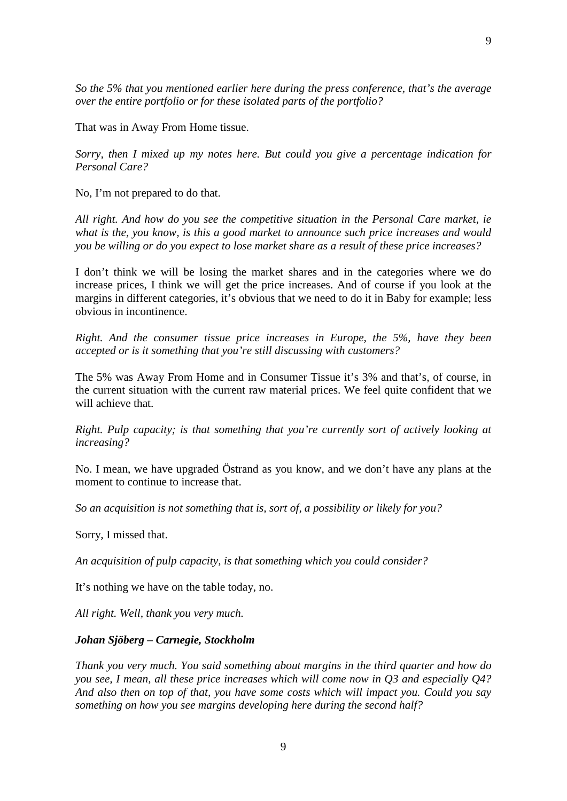*So the 5% that you mentioned earlier here during the press conference, that's the average over the entire portfolio or for these isolated parts of the portfolio?*

That was in Away From Home tissue.

*Sorry, then I mixed up my notes here. But could you give a percentage indication for Personal Care?*

No, I'm not prepared to do that.

*All right. And how do you see the competitive situation in the Personal Care market, ie what is the, you know, is this a good market to announce such price increases and would you be willing or do you expect to lose market share as a result of these price increases?*

I don't think we will be losing the market shares and in the categories where we do increase prices, I think we will get the price increases. And of course if you look at the margins in different categories, it's obvious that we need to do it in Baby for example; less obvious in incontinence.

*Right. And the consumer tissue price increases in Europe, the 5%, have they been accepted or is it something that you're still discussing with customers?*

The 5% was Away From Home and in Consumer Tissue it's 3% and that's, of course, in the current situation with the current raw material prices. We feel quite confident that we will achieve that.

*Right. Pulp capacity; is that something that you're currently sort of actively looking at increasing?*

No. I mean, we have upgraded Östrand as you know, and we don't have any plans at the moment to continue to increase that.

*So an acquisition is not something that is, sort of, a possibility or likely for you?*

Sorry, I missed that.

*An acquisition of pulp capacity, is that something which you could consider?*

It's nothing we have on the table today, no.

*All right. Well, thank you very much.*

## *Johan Sjöberg – Carnegie, Stockholm*

*Thank you very much. You said something about margins in the third quarter and how do you see, I mean, all these price increases which will come now in Q3 and especially Q4? And also then on top of that, you have some costs which will impact you. Could you say something on how you see margins developing here during the second half?*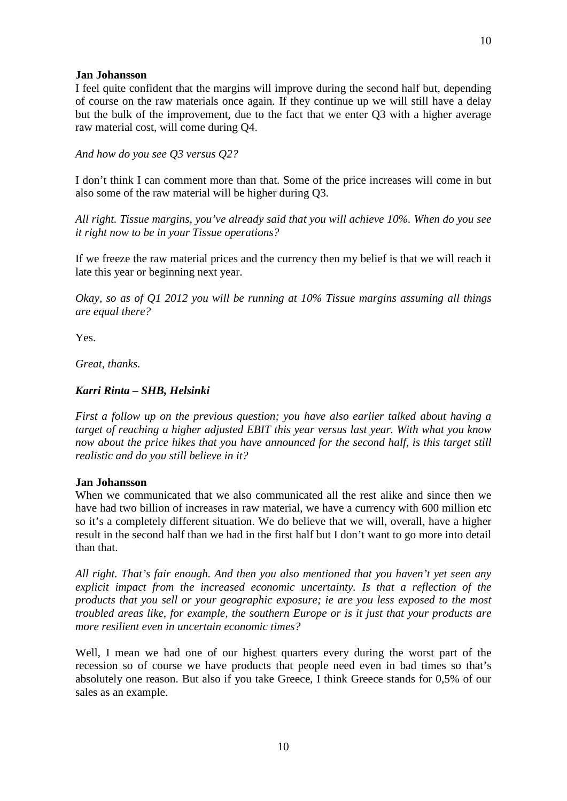### **Jan Johansson**

I feel quite confident that the margins will improve during the second half but, depending of course on the raw materials once again. If they continue up we will still have a delay but the bulk of the improvement, due to the fact that we enter Q3 with a higher average raw material cost, will come during Q4.

10

*And how do you see Q3 versus Q2?*

I don't think I can comment more than that. Some of the price increases will come in but also some of the raw material will be higher during Q3.

*All right. Tissue margins, you've already said that you will achieve 10%. When do you see it right now to be in your Tissue operations?*

If we freeze the raw material prices and the currency then my belief is that we will reach it late this year or beginning next year.

*Okay, so as of Q1 2012 you will be running at 10% Tissue margins assuming all things are equal there?*

Yes.

*Great, thanks.*

## *Karri Rinta – SHB, Helsinki*

*First a follow up on the previous question; you have also earlier talked about having a target of reaching a higher adjusted EBIT this year versus last year. With what you know now about the price hikes that you have announced for the second half, is this target still realistic and do you still believe in it?*

### **Jan Johansson**

When we communicated that we also communicated all the rest alike and since then we have had two billion of increases in raw material, we have a currency with 600 million etc so it's a completely different situation. We do believe that we will, overall, have a higher result in the second half than we had in the first half but I don't want to go more into detail than that.

*All right. That's fair enough. And then you also mentioned that you haven't yet seen any explicit impact from the increased economic uncertainty. Is that a reflection of the products that you sell or your geographic exposure; ie are you less exposed to the most troubled areas like, for example, the southern Europe or is it just that your products are more resilient even in uncertain economic times?*

Well, I mean we had one of our highest quarters every during the worst part of the recession so of course we have products that people need even in bad times so that's absolutely one reason. But also if you take Greece, I think Greece stands for 0,5% of our sales as an example.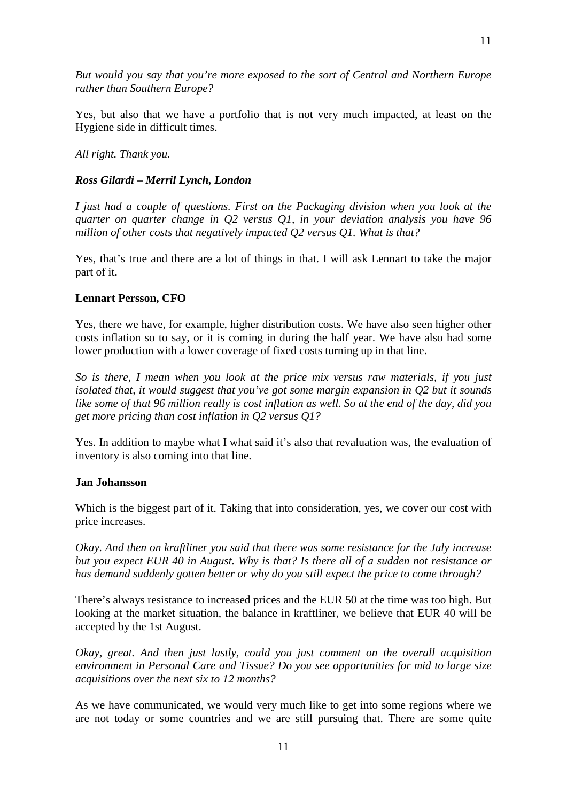*But would you say that you're more exposed to the sort of Central and Northern Europe rather than Southern Europe?*

Yes, but also that we have a portfolio that is not very much impacted, at least on the Hygiene side in difficult times.

*All right. Thank you.*

## *Ross Gilardi – Merril Lynch, London*

*I just had a couple of questions. First on the Packaging division when you look at the quarter on quarter change in Q2 versus Q1, in your deviation analysis you have 96 million of other costs that negatively impacted Q2 versus Q1. What is that?*

Yes, that's true and there are a lot of things in that. I will ask Lennart to take the major part of it.

## **Lennart Persson, CFO**

Yes, there we have, for example, higher distribution costs. We have also seen higher other costs inflation so to say, or it is coming in during the half year. We have also had some lower production with a lower coverage of fixed costs turning up in that line.

*So is there, I mean when you look at the price mix versus raw materials, if you just isolated that, it would suggest that you've got some margin expansion in Q2 but it sounds like some of that 96 million really is cost inflation as well. So at the end of the day, did you get more pricing than cost inflation in Q2 versus Q1?*

Yes. In addition to maybe what I what said it's also that revaluation was, the evaluation of inventory is also coming into that line.

### **Jan Johansson**

Which is the biggest part of it. Taking that into consideration, yes, we cover our cost with price increases.

*Okay. And then on kraftliner you said that there was some resistance for the July increase but you expect EUR 40 in August. Why is that? Is there all of a sudden not resistance or has demand suddenly gotten better or why do you still expect the price to come through?*

There's always resistance to increased prices and the EUR 50 at the time was too high. But looking at the market situation, the balance in kraftliner, we believe that EUR 40 will be accepted by the 1st August.

*Okay, great. And then just lastly, could you just comment on the overall acquisition environment in Personal Care and Tissue? Do you see opportunities for mid to large size acquisitions over the next six to 12 months?*

As we have communicated, we would very much like to get into some regions where we are not today or some countries and we are still pursuing that. There are some quite

11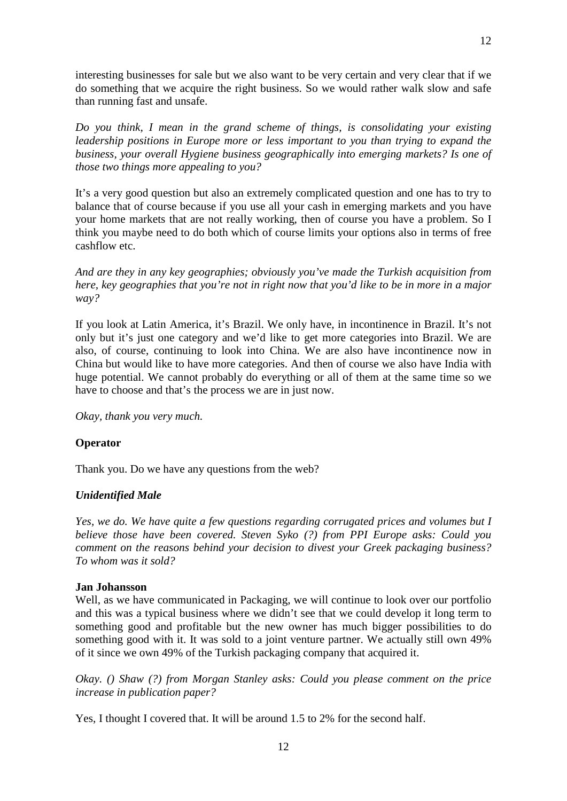interesting businesses for sale but we also want to be very certain and very clear that if we do something that we acquire the right business. So we would rather walk slow and safe than running fast and unsafe.

12

*Do you think, I mean in the grand scheme of things, is consolidating your existing leadership positions in Europe more or less important to you than trying to expand the business, your overall Hygiene business geographically into emerging markets? Is one of those two things more appealing to you?*

It's a very good question but also an extremely complicated question and one has to try to balance that of course because if you use all your cash in emerging markets and you have your home markets that are not really working, then of course you have a problem. So I think you maybe need to do both which of course limits your options also in terms of free cashflow etc.

*And are they in any key geographies; obviously you've made the Turkish acquisition from here, key geographies that you're not in right now that you'd like to be in more in a major way?*

If you look at Latin America, it's Brazil. We only have, in incontinence in Brazil. It's not only but it's just one category and we'd like to get more categories into Brazil. We are also, of course, continuing to look into China. We are also have incontinence now in China but would like to have more categories. And then of course we also have India with huge potential. We cannot probably do everything or all of them at the same time so we have to choose and that's the process we are in just now.

*Okay, thank you very much.*

## **Operator**

Thank you. Do we have any questions from the web?

## *Unidentified Male*

*Yes, we do. We have quite a few questions regarding corrugated prices and volumes but I believe those have been covered. Steven Syko (?) from PPI Europe asks: Could you comment on the reasons behind your decision to divest your Greek packaging business? To whom was it sold?*

## **Jan Johansson**

Well, as we have communicated in Packaging, we will continue to look over our portfolio and this was a typical business where we didn't see that we could develop it long term to something good and profitable but the new owner has much bigger possibilities to do something good with it. It was sold to a joint venture partner. We actually still own 49% of it since we own 49% of the Turkish packaging company that acquired it.

*Okay. () Shaw (?) from Morgan Stanley asks: Could you please comment on the price increase in publication paper?*

Yes, I thought I covered that. It will be around 1.5 to 2% for the second half.